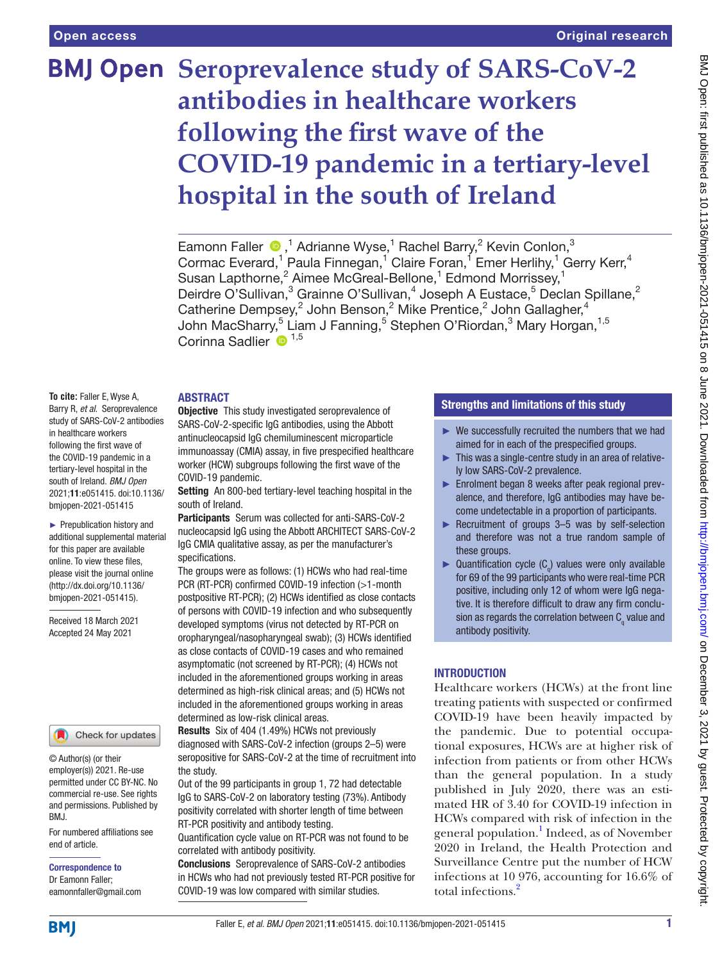# **BMJ Open** Seroprevalence study of SARS-CoV-2 **antibodies in healthcare workers following the first wave of the COVID-19 pandemic in a tertiary-level hospital in the south of Ireland**

EamonnFaller  $\bigcirc$ ,<sup>1</sup> Adrianne Wyse,<sup>1</sup> Rachel Barry,<sup>2</sup> Kevin Conlon,<sup>3</sup> Cormac Everard,<sup>1</sup> Paula Finnegan,<sup>1</sup> Claire Foran,<sup>1</sup> Emer Herlihy,<sup>1</sup> Gerry Kerr,<sup>4</sup> Susan Lapthorne,<sup>2</sup> Aimee McGreal-Bellone,<sup>1</sup> Edmond Morrissey,<sup>1</sup> Deirdre O'Sullivan,<sup>3</sup> Grainne O'Sullivan,<sup>4</sup> Joseph A Eustace,<sup>5</sup> Declan Spillane,<sup>2</sup> Catherine Dempsey,<sup>2</sup> John Benson,<sup>2</sup> Mike Prentice,<sup>2</sup> John Gallagher,<sup>4</sup> John MacSharry,<sup>5</sup> Liam J Fanning,<sup>5</sup> Stephen O'Riordan,<sup>3</sup> Mary Horgan,<sup>1,5</sup> Corinna Sadlier  $\mathbf{D}^{1,5}$ 

# ABSTRACT

**To cite:** Faller E, Wyse A, Barry R, *et al*. Seroprevalence study of SARS-CoV-2 antibodies in healthcare workers following the first wave of the COVID-19 pandemic in a tertiary-level hospital in the south of Ireland. *BMJ Open* 2021;11:e051415. doi:10.1136/ bmjopen-2021-051415

► Prepublication history and additional supplemental material for this paper are available online. To view these files, please visit the journal online [\(http://dx.doi.org/10.1136/](http://dx.doi.org/10.1136/bmjopen-2021-051415) [bmjopen-2021-051415](http://dx.doi.org/10.1136/bmjopen-2021-051415)).

Received 18 March 2021 Accepted 24 May 2021

#### Check for updates

© Author(s) (or their employer(s)) 2021. Re-use permitted under CC BY-NC. No commercial re-use. See rights and permissions. Published by BMJ.

For numbered affiliations see end of article.

Correspondence to Dr Eamonn Faller; eamonnfaller@gmail.com

**Objective** This study investigated seroprevalence of SARS-CoV-2-specific IgG antibodies, using the Abbott antinucleocapsid IgG chemiluminescent microparticle immunoassay (CMIA) assay, in five prespecified healthcare worker (HCW) subgroups following the first wave of the COVID-19 pandemic.

Setting An 800-bed tertiary-level teaching hospital in the south of Ireland.

Participants Serum was collected for anti-SARS-CoV-2 nucleocapsid IgG using the Abbott ARCHITECT SARS-CoV-2 IgG CMIA qualitative assay, as per the manufacturer's specifications.

The groups were as follows: (1) HCWs who had real-time PCR (RT-PCR) confirmed COVID-19 infection (>1-month postpositive RT-PCR); (2) HCWs identified as close contacts of persons with COVID-19 infection and who subsequently developed symptoms (virus not detected by RT-PCR on oropharyngeal/nasopharyngeal swab); (3) HCWs identified as close contacts of COVID-19 cases and who remained asymptomatic (not screened by RT-PCR); (4) HCWs not included in the aforementioned groups working in areas determined as high-risk clinical areas; and (5) HCWs not included in the aforementioned groups working in areas determined as low-risk clinical areas.

Results Six of 404 (1.49%) HCWs not previously diagnosed with SARS-CoV-2 infection (groups 2–5) were seropositive for SARS-CoV-2 at the time of recruitment into the study.

Out of the 99 participants in group 1, 72 had detectable IgG to SARS-CoV-2 on laboratory testing (73%). Antibody positivity correlated with shorter length of time between RT-PCR positivity and antibody testing.

Quantification cycle value on RT-PCR was not found to be correlated with antibody positivity.

Conclusions Seroprevalence of SARS-CoV-2 antibodies in HCWs who had not previously tested RT-PCR positive for COVID-19 was low compared with similar studies.

# Strengths and limitations of this study

- $\blacktriangleright$  We successfully recruited the numbers that we had aimed for in each of the prespecified groups.
- ► This was a single-centre study in an area of relatively low SARS-CoV-2 prevalence.
- ► Enrolment began 8 weeks after peak regional prevalence, and therefore, IgG antibodies may have become undetectable in a proportion of participants.
- ► Recruitment of groups 3–5 was by self-selection and therefore was not a true random sample of these groups.
- ► Quantification cycle  $(C_q)$  values were only available for 69 of the 99 participants who were real-time PCR positive, including only 12 of whom were IgG negative. It is therefore difficult to draw any firm conclusion as regards the correlation between  $\mathsf{C}_\mathsf{q}$  value and antibody positivity.

# INTRODUCTION

Healthcare workers (HCWs) at the front line treating patients with suspected or confirmed COVID-19 have been heavily impacted by the pandemic. Due to potential occupational exposures, HCWs are at higher risk of infection from patients or from other HCWs than the general population. In a study published in July 2020, there was an estimated HR of 3.40 for COVID-19 infection in HCWs compared with risk of infection in the general population.<sup>1</sup> Indeed, as of November 2020 in Ireland, the Health Protection and Surveillance Centre put the number of HCW infections at 10 976, accounting for 16.6% of total infections.[2](#page-5-1)

**BMI**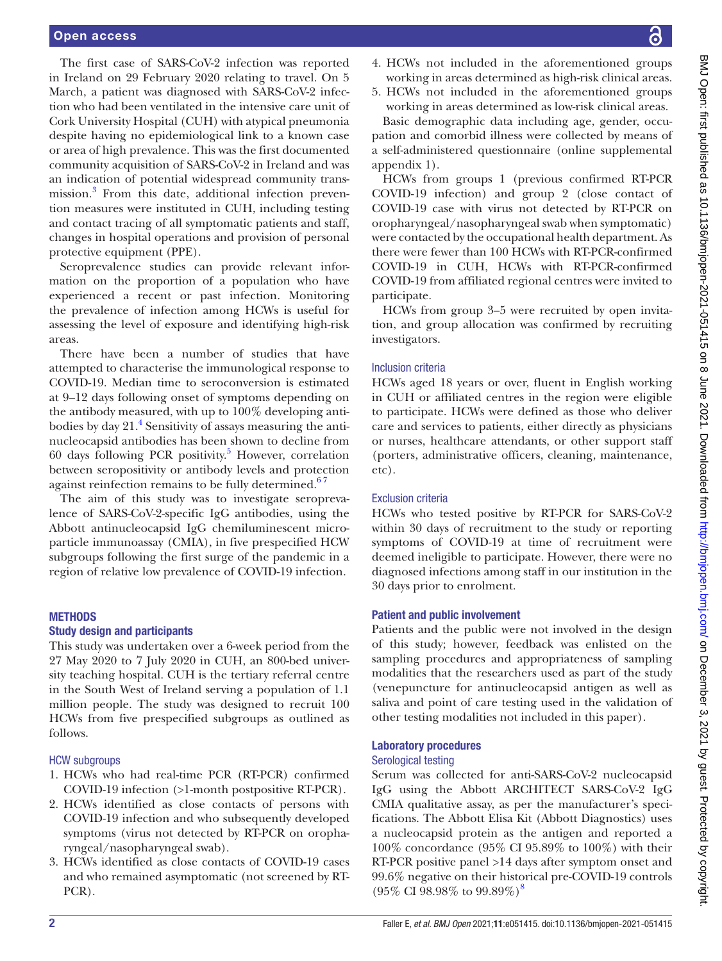The first case of SARS-CoV-2 infection was reported in Ireland on 29 February 2020 relating to travel. On 5 March, a patient was diagnosed with SARS-CoV-2 infection who had been ventilated in the intensive care unit of Cork University Hospital (CUH) with atypical pneumonia despite having no epidemiological link to a known case or area of high prevalence. This was the first documented community acquisition of SARS-CoV-2 in Ireland and was an indication of potential widespread community transmission.<sup>3</sup> From this date, additional infection prevention measures were instituted in CUH, including testing and contact tracing of all symptomatic patients and staff, changes in hospital operations and provision of personal protective equipment (PPE).

Seroprevalence studies can provide relevant information on the proportion of a population who have experienced a recent or past infection. Monitoring the prevalence of infection among HCWs is useful for assessing the level of exposure and identifying high-risk areas.

There have been a number of studies that have attempted to characterise the immunological response to COVID-19. Median time to seroconversion is estimated at 9–12 days following onset of symptoms depending on the antibody measured, with up to 100% developing antibodies by day 21.<sup>4</sup> Sensitivity of assays measuring the antinucleocapsid antibodies has been shown to decline from 60 days following PCR positivity.<sup>[5](#page-5-4)</sup> However, correlation between seropositivity or antibody levels and protection against reinfection remains to be fully determined.<sup>67</sup>

The aim of this study was to investigate seroprevalence of SARS-CoV-2-specific IgG antibodies, using the Abbott antinucleocapsid IgG chemiluminescent microparticle immunoassay (CMIA), in five prespecified HCW subgroups following the first surge of the pandemic in a region of relative low prevalence of COVID-19 infection.

# **METHODS**

### Study design and participants

This study was undertaken over a 6-week period from the 27 May 2020 to 7 July 2020 in CUH, an 800-bed university teaching hospital. CUH is the tertiary referral centre in the South West of Ireland serving a population of 1.1 million people. The study was designed to recruit 100 HCWs from five prespecified subgroups as outlined as follows.

# HCW subgroups

- 1. HCWs who had real-time PCR (RT-PCR) confirmed COVID-19 infection (>1-month postpositive RT-PCR).
- 2. HCWs identified as close contacts of persons with COVID-19 infection and who subsequently developed symptoms (virus not detected by RT-PCR on oropharyngeal/nasopharyngeal swab).
- 3. HCWs identified as close contacts of COVID-19 cases and who remained asymptomatic (not screened by RT-PCR).
- 4. HCWs not included in the aforementioned groups working in areas determined as high-risk clinical areas.
- 5. HCWs not included in the aforementioned groups working in areas determined as low-risk clinical areas.

Basic demographic data including age, gender, occupation and comorbid illness were collected by means of a self-administered questionnaire [\(online supplemental](https://dx.doi.org/10.1136/bmjopen-2021-051415)  [appendix 1\)](https://dx.doi.org/10.1136/bmjopen-2021-051415).

HCWs from groups 1 (previous confirmed RT-PCR COVID-19 infection) and group 2 (close contact of COVID-19 case with virus not detected by RT-PCR on oropharyngeal/nasopharyngeal swab when symptomatic) were contacted by the occupational health department. As there were fewer than 100 HCWs with RT-PCR-confirmed COVID-19 in CUH, HCWs with RT-PCR-confirmed COVID-19 from affiliated regional centres were invited to participate.

HCWs from group 3–5 were recruited by open invitation, and group allocation was confirmed by recruiting investigators.

# Inclusion criteria

HCWs aged 18 years or over, fluent in English working in CUH or affiliated centres in the region were eligible to participate. HCWs were defined as those who deliver care and services to patients, either directly as physicians or nurses, healthcare attendants, or other support staff (porters, administrative officers, cleaning, maintenance, etc).

# Exclusion criteria

HCWs who tested positive by RT-PCR for SARS-CoV-2 within 30 days of recruitment to the study or reporting symptoms of COVID-19 at time of recruitment were deemed ineligible to participate. However, there were no diagnosed infections among staff in our institution in the 30 days prior to enrolment.

### Patient and public involvement

Patients and the public were not involved in the design of this study; however, feedback was enlisted on the sampling procedures and appropriateness of sampling modalities that the researchers used as part of the study (venepuncture for antinucleocapsid antigen as well as saliva and point of care testing used in the validation of other testing modalities not included in this paper).

### Laboratory procedures

# Serological testing

Serum was collected for anti-SARS-CoV-2 nucleocapsid IgG using the Abbott ARCHITECT SARS-CoV-2 IgG CMIA qualitative assay, as per the manufacturer's specifications. The Abbott Elisa Kit (Abbott Diagnostics) uses a nucleocapsid protein as the antigen and reported a 100% concordance (95% CI 95.89% to 100%) with their RT-PCR positive panel >14 days after symptom onset and 99.6% negative on their historical pre-COVID-19 controls  $(95\% \text{ CI } 98.98\% \text{ to } 99.89\%)^8$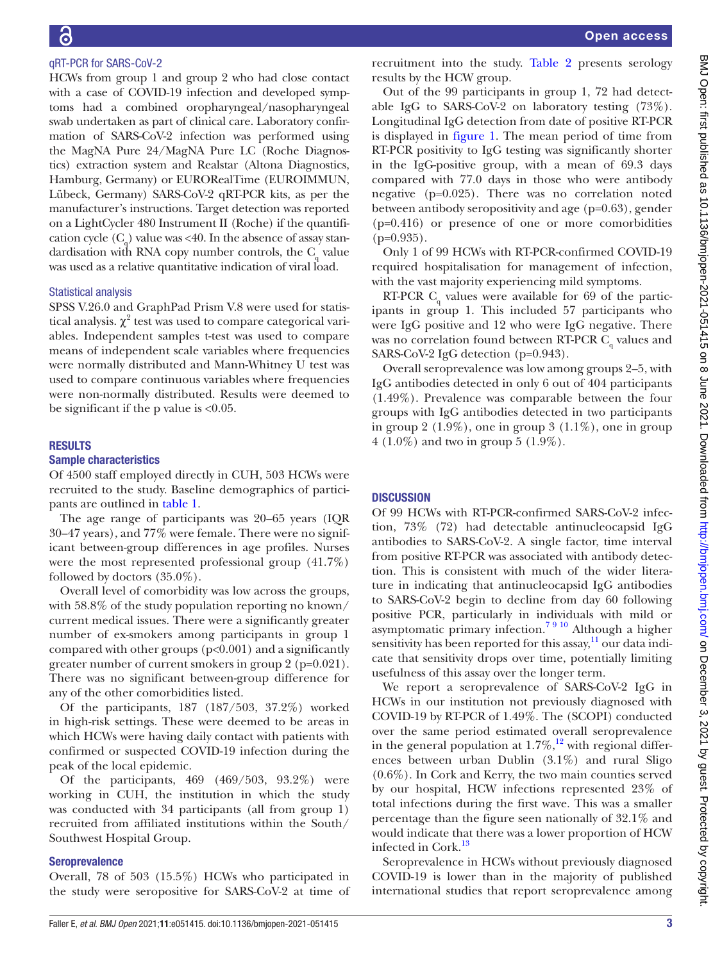# qRT-PCR for SARS-CoV-2

HCWs from group 1 and group 2 who had close contact with a case of COVID-19 infection and developed symptoms had a combined oropharyngeal/nasopharyngeal swab undertaken as part of clinical care. Laboratory confirmation of SARS-CoV-2 infection was performed using the MagNA Pure 24/MagNA Pure LC (Roche Diagnostics) extraction system and Realstar (Altona Diagnostics, Hamburg, Germany) or EURORealTime (EUROIMMUN, Lübeck, Germany) SARS-CoV-2 qRT-PCR kits, as per the manufacturer's instructions. Target detection was reported on a LightCycler 480 Instrument II (Roche) if the quantification cycle  $(C_q)$  value was <40. In the absence of assay standardisation with RNA copy number controls, the  $C_q$  value was used as a relative quantitative indication of viral load.

# Statistical analysis

SPSS V.26.0 and GraphPad Prism V.8 were used for statistical analysis.  $\chi^2$  test was used to compare categorical variables. Independent samples t-test was used to compare means of independent scale variables where frequencies were normally distributed and Mann-Whitney U test was used to compare continuous variables where frequencies were non-normally distributed. Results were deemed to be significant if the p value is  $<0.05$ .

# RESULTS

# Sample characteristics

Of 4500 staff employed directly in CUH, 503 HCWs were recruited to the study. Baseline demographics of participants are outlined in [table](#page-3-0) 1.

The age range of participants was 20–65 years (IQR 30–47 years), and 77% were female. There were no significant between-group differences in age profiles. Nurses were the most represented professional group (41.7%) followed by doctors (35.0%).

Overall level of comorbidity was low across the groups, with 58.8% of the study population reporting no known/ current medical issues. There were a significantly greater number of ex-smokers among participants in group 1 compared with other groups  $(p<0.001)$  and a significantly greater number of current smokers in group 2 (p=0.021). There was no significant between-group difference for any of the other comorbidities listed.

Of the participants, 187 (187/503, 37.2%) worked in high-risk settings. These were deemed to be areas in which HCWs were having daily contact with patients with confirmed or suspected COVID-19 infection during the peak of the local epidemic.

Of the participants, 469 (469/503, 93.2%) were working in CUH, the institution in which the study was conducted with 34 participants (all from group 1) recruited from affiliated institutions within the South/ Southwest Hospital Group.

# Seroprevalence

Overall, 78 of 503 (15.5%) HCWs who participated in the study were seropositive for SARS-CoV-2 at time of

recruitment into the study. [Table](#page-4-0) 2 presents serology results by the HCW group.

Out of the 99 participants in group 1, 72 had detectable IgG to SARS-CoV-2 on laboratory testing (73%). Longitudinal IgG detection from date of positive RT-PCR is displayed in [figure](#page-4-1) 1. The mean period of time from RT-PCR positivity to IgG testing was significantly shorter in the IgG-positive group, with a mean of 69.3 days compared with 77.0 days in those who were antibody negative (p=0.025). There was no correlation noted between antibody seropositivity and age (p=0.63), gender (p=0.416) or presence of one or more comorbidities  $(p=0.935)$ .

Only 1 of 99 HCWs with RT-PCR-confirmed COVID-19 required hospitalisation for management of infection, with the vast majority experiencing mild symptoms.

RT-PCR  $C_q$  values were available for 69 of the participants in group 1. This included 57 participants who were IgG positive and 12 who were IgG negative. There was no correlation found between RT-PCR  $C_q$  values and SARS-CoV-2 IgG detection (p=0.943).

Overall seroprevalence was low among groups 2–5, with IgG antibodies detected in only 6 out of 404 participants (1.49%). Prevalence was comparable between the four groups with IgG antibodies detected in two participants in group 2 (1.9%), one in group 3 (1.1%), one in group 4 (1.0%) and two in group 5 (1.9%).

# **DISCUSSION**

Of 99 HCWs with RT-PCR-confirmed SARS-CoV-2 infection, 73% (72) had detectable antinucleocapsid IgG antibodies to SARS-CoV-2. A single factor, time interval from positive RT-PCR was associated with antibody detection. This is consistent with much of the wider literature in indicating that antinucleocapsid IgG antibodies to SARS-CoV-2 begin to decline from day 60 following positive PCR, particularly in individuals with mild or asymptomatic primary infection.<sup>7 9 10</sup> Although a higher sensitivity has been reported for this assay,<sup>11</sup> our data indicate that sensitivity drops over time, potentially limiting usefulness of this assay over the longer term.

We report a seroprevalence of SARS-CoV-2 IgG in HCWs in our institution not previously diagnosed with COVID-19 by RT-PCR of 1.49%. The (SCOPI) conducted over the same period estimated overall seroprevalence in the general population at  $1.7\%$ ,<sup>[12](#page-5-9)</sup> with regional differences between urban Dublin (3.1%) and rural Sligo (0.6%). In Cork and Kerry, the two main counties served by our hospital, HCW infections represented 23% of total infections during the first wave. This was a smaller percentage than the figure seen nationally of 32.1% and would indicate that there was a lower proportion of HCW infected in Cork.<sup>[13](#page-5-10)</sup>

Seroprevalence in HCWs without previously diagnosed COVID-19 is lower than in the majority of published international studies that report seroprevalence among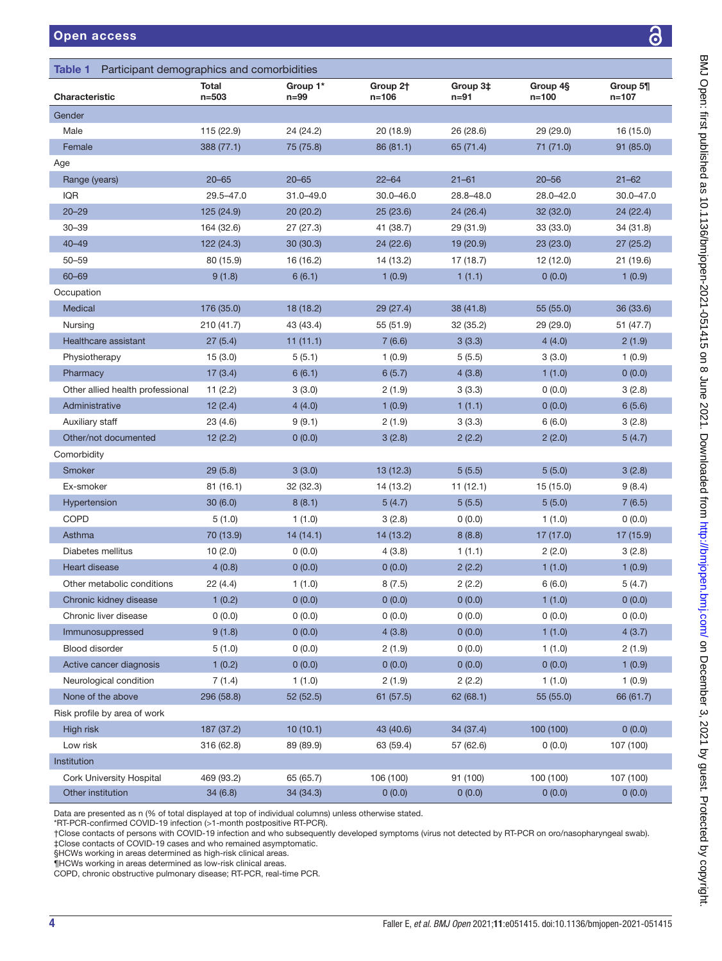<span id="page-3-0"></span>

| Table 1 Participant demographics and comorbidities |                    |                      |                               |                      |                       |                       |  |
|----------------------------------------------------|--------------------|----------------------|-------------------------------|----------------------|-----------------------|-----------------------|--|
| Characteristic                                     | Total<br>$n = 503$ | Group 1*<br>$n = 99$ | Group 2 <sup>+</sup><br>n=106 | Group 3‡<br>$n = 91$ | Group 4§<br>$n = 100$ | Group 5¶<br>$n = 107$ |  |
| Gender                                             |                    |                      |                               |                      |                       |                       |  |
| Male                                               | 115 (22.9)         | 24 (24.2)            | 20 (18.9)                     | 26 (28.6)            | 29(29.0)              | 16 (15.0)             |  |
| Female                                             | 388 (77.1)         | 75 (75.8)            | 86 (81.1)                     | 65 (71.4)            | 71 (71.0)             | 91 (85.0)             |  |
| Age                                                |                    |                      |                               |                      |                       |                       |  |
| Range (years)                                      | $20 - 65$          | $20 - 65$            | $22 - 64$                     | $21 - 61$            | $20 - 56$             | $21 - 62$             |  |
| IQR                                                | 29.5-47.0          | 31.0-49.0            | $30.0 - 46.0$                 | 28.8-48.0            | $28.0 - 42.0$         | $30.0 - 47.0$         |  |
| $20 - 29$                                          | 125 (24.9)         | 20(20.2)             | 25(23.6)                      | 24 (26.4)            | 32(32.0)              | 24(22.4)              |  |
| $30 - 39$                                          | 164 (32.6)         | 27 (27.3)            | 41 (38.7)                     | 29 (31.9)            | 33 (33.0)             | 34 (31.8)             |  |
| $40 - 49$                                          | 122(24.3)          | 30(30.3)             | 24(22.6)                      | 19 (20.9)            | 23(23.0)              | 27(25.2)              |  |
| $50 - 59$                                          | 80 (15.9)          | 16 (16.2)            | 14 (13.2)                     | 17 (18.7)            | 12 (12.0)             | 21 (19.6)             |  |
| $60 - 69$                                          | 9(1.8)             | 6(6.1)               | 1(0.9)                        | 1(1.1)               | 0(0.0)                | 1(0.9)                |  |
| Occupation                                         |                    |                      |                               |                      |                       |                       |  |
| Medical                                            | 176 (35.0)         | 18 (18.2)            | 29 (27.4)                     | 38 (41.8)            | 55(55.0)              | 36 (33.6)             |  |
| Nursing                                            | 210(41.7)          | 43 (43.4)            | 55 (51.9)                     | 32 (35.2)            | 29 (29.0)             | 51 (47.7)             |  |
| Healthcare assistant                               | 27(5.4)            | 11(11.1)             | 7(6.6)                        | 3(3.3)               | 4(4.0)                | 2(1.9)                |  |
| Physiotherapy                                      | 15(3.0)            | 5(5.1)               | 1(0.9)                        | 5(5.5)               | 3(3.0)                | 1(0.9)                |  |
| Pharmacy                                           | 17(3.4)            | 6(6.1)               | 6(5.7)                        | 4(3.8)               | 1(1.0)                | 0(0.0)                |  |
| Other allied health professional                   | 11(2.2)            | 3(3.0)               | 2(1.9)                        | 3(3.3)               | 0(0.0)                | 3(2.8)                |  |
| Administrative                                     | 12(2.4)            | 4(4.0)               | 1(0.9)                        | 1(1.1)               | 0(0.0)                | 6(5.6)                |  |
| Auxiliary staff                                    | 23(4.6)            | 9(9.1)               | 2(1.9)                        | 3(3.3)               | 6(6.0)                | 3(2.8)                |  |
| Other/not documented                               | 12(2.2)            | 0(0.0)               | 3(2.8)                        | 2(2.2)               | 2(2.0)                | 5(4.7)                |  |
| Comorbidity                                        |                    |                      |                               |                      |                       |                       |  |
| Smoker                                             | 29(5.8)            | 3(3.0)               | 13(12.3)                      | 5(5.5)               | 5(5.0)                | 3(2.8)                |  |
| Ex-smoker                                          | 81 (16.1)          | 32 (32.3)            | 14 (13.2)                     | 11(12.1)             | 15 (15.0)             | 9(8.4)                |  |
| Hypertension                                       | 30(6.0)            | 8(8.1)               | 5(4.7)                        | 5(5.5)               | 5(5.0)                | 7(6.5)                |  |
| COPD                                               | 5(1.0)             | 1(1.0)               | 3(2.8)                        | 0(0.0)               | 1(1.0)                | 0(0.0)                |  |
| Asthma                                             | 70 (13.9)          | 14(14.1)             | 14 (13.2)                     | 8(8.8)               | 17(17.0)              | 17 (15.9)             |  |
| Diabetes mellitus                                  | 10(2.0)            | 0(0.0)               | 4(3.8)                        | 1(1.1)               | 2(2.0)                | 3(2.8)                |  |
| Heart disease                                      | 4(0.8)             | 0(0.0)               | 0(0.0)                        | 2(2.2)               | 1(1.0)                | 1(0.9)                |  |
| Other metabolic conditions                         | 22 (4.4)           | 1(1.0)               | 8(7.5)                        | 2(2.2)               | 6(6.0)                | 5(4.7)                |  |
| Chronic kidney disease                             | 1(0.2)             | 0(0.0)               | 0(0.0)                        | 0(0.0)               | 1(1.0)                | 0(0.0)                |  |
| Chronic liver disease                              | 0(0.0)             | 0(0.0)               | 0(0.0)                        | 0(0.0)               | 0(0.0)                | 0(0.0)                |  |
| Immunosuppressed                                   | 9(1.8)             | 0(0.0)               | 4(3.8)                        | 0(0.0)               | 1(1.0)                | 4(3.7)                |  |
| Blood disorder                                     | 5(1.0)             | 0(0.0)               | 2(1.9)                        | 0(0.0)               | 1(1.0)                | 2 (1.9)               |  |
| Active cancer diagnosis                            | 1(0.2)             | 0(0.0)               | 0(0.0)                        | 0(0.0)               | 0(0.0)                | 1(0.9)                |  |
| Neurological condition                             | 7(1.4)             | 1(1.0)               | 2(1.9)                        | 2(2.2)               | 1(1.0)                | 1(0.9)                |  |
| None of the above                                  | 296 (58.8)         | 52 (52.5)            | 61(57.5)                      | 62(68.1)             | 55 (55.0)             | 66 (61.7)             |  |
| Risk profile by area of work                       |                    |                      |                               |                      |                       |                       |  |
| High risk                                          | 187 (37.2)         | 10(10.1)             | 43 (40.6)                     | 34 (37.4)            | 100 (100)             | 0(0.0)                |  |
| Low risk                                           | 316 (62.8)         | 89 (89.9)            | 63 (59.4)                     | 57 (62.6)            | 0(0.0)                | 107 (100)             |  |
| Institution                                        |                    |                      |                               |                      |                       |                       |  |
| <b>Cork University Hospital</b>                    | 469 (93.2)         | 65 (65.7)            | 106 (100)                     | 91 (100)             | 100 (100)             | 107 (100)             |  |
| Other institution                                  | 34(6.8)            | 34 (34.3)            | 0(0.0)                        | 0(0.0)               | 0(0.0)                | 0(0.0)                |  |

Data are presented as n (% of total displayed at top of individual columns) unless otherwise stated.

\*RT-PCR-confirmed COVID-19 infection (>1-month postpositive RT-PCR).

†Close contacts of persons with COVID-19 infection and who subsequently developed symptoms (virus not detected by RT-PCR on oro/nasopharyngeal swab). ‡Close contacts of COVID-19 cases and who remained asymptomatic.

§HCWs working in areas determined as high-risk clinical areas.

¶HCWs working in areas determined as low-risk clinical areas.

COPD, chronic obstructive pulmonary disease; RT-PCR, real-time PCR.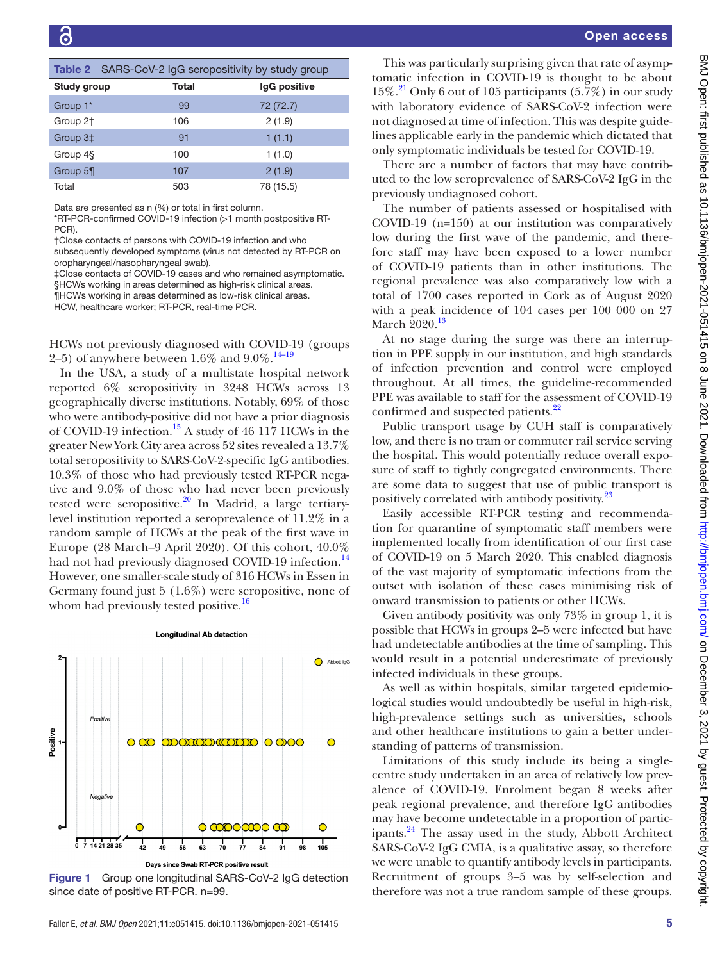<span id="page-4-0"></span>

|                      | Table 2 SARS-CoV-2 IgG seropositivity by study group |              |  |  |  |
|----------------------|------------------------------------------------------|--------------|--|--|--|
| Study group          | Total                                                | IgG positive |  |  |  |
| Group 1*             | 99                                                   | 72 (72.7)    |  |  |  |
| Group 2 <sup>+</sup> | 106                                                  | 2(1.9)       |  |  |  |
| Group 3‡             | 91                                                   | 1(1.1)       |  |  |  |
| Group 4§             | 100                                                  | 1(1.0)       |  |  |  |
| Group 5¶             | 107                                                  | 2(1.9)       |  |  |  |
| Total                | 503                                                  | 78 (15.5)    |  |  |  |

Data are presented as n (%) or total in first column.

\*RT-PCR-confirmed COVID-19 infection (>1 month postpositive RT-PC<sub>R</sub>

†Close contacts of persons with COVID-19 infection and who subsequently developed symptoms (virus not detected by RT-PCR on

oropharyngeal/nasopharyngeal swab). ‡Close contacts of COVID-19 cases and who remained asymptomatic. §HCWs working in areas determined as high-risk clinical areas.

¶HCWs working in areas determined as low-risk clinical areas.

HCW, healthcare worker; RT-PCR, real-time PCR.

HCWs not previously diagnosed with COVID-19 (groups 2–5) of anywhere between 1.6% and  $9.0\%$ .<sup>14–19</sup>

In the USA, a study of a multistate hospital network reported 6% seropositivity in 3248 HCWs across 13 geographically diverse institutions. Notably, 69% of those who were antibody-positive did not have a prior diagnosis of COVID-19 infection.<sup>15</sup> A study of 46 117 HCWs in the greater New York City area across 52 sites revealed a 13.7% total seropositivity to SARS-CoV-2-specific IgG antibodies. 10.3% of those who had previously tested RT-PCR negative and 9.0% of those who had never been previously tested were seropositive. $20$  In Madrid, a large tertiarylevel institution reported a seroprevalence of 11.2% in a random sample of HCWs at the peak of the first wave in Europe (28 March–9 April 2020). Of this cohort, 40.0% had not had previously diagnosed COVID-19 infection.<sup>[14](#page-5-11)</sup> However, one smaller-scale study of 316 HCWs in Essen in Germany found just 5 (1.6%) were seropositive, none of whom had previously tested positive.<sup>16</sup>



#### **Longitudinal Ab detection**

<span id="page-4-1"></span>Figure 1 Group one longitudinal SARS-CoV-2 IgG detection since date of positive RT-PCR. n=99.

This was particularly surprising given that rate of asymptomatic infection in COVID-19 is thought to be about 15%.[21](#page-6-2) Only 6 out of 105 participants (5.7%) in our study with laboratory evidence of SARS-CoV-2 infection were not diagnosed at time of infection. This was despite guidelines applicable early in the pandemic which dictated that only symptomatic individuals be tested for COVID-19.

There are a number of factors that may have contributed to the low seroprevalence of SARS-CoV-2 IgG in the previously undiagnosed cohort.

The number of patients assessed or hospitalised with COVID-19 (n=150) at our institution was comparatively low during the first wave of the pandemic, and therefore staff may have been exposed to a lower number of COVID-19 patients than in other institutions. The regional prevalence was also comparatively low with a total of 1700 cases reported in Cork as of August 2020 with a peak incidence of 104 cases per 100 000 on 27 March 2020.<sup>13</sup>

At no stage during the surge was there an interruption in PPE supply in our institution, and high standards of infection prevention and control were employed throughout. At all times, the guideline-recommended PPE was available to staff for the assessment of COVID-19 confirmed and suspected patients.<sup>22</sup>

Public transport usage by CUH staff is comparatively low, and there is no tram or commuter rail service serving the hospital. This would potentially reduce overall exposure of staff to tightly congregated environments. There are some data to suggest that use of public transport is positively correlated with antibody positivity.<sup>[23](#page-6-4)</sup>

Easily accessible RT-PCR testing and recommendation for quarantine of symptomatic staff members were implemented locally from identification of our first case of COVID-19 on 5 March 2020. This enabled diagnosis of the vast majority of symptomatic infections from the outset with isolation of these cases minimising risk of onward transmission to patients or other HCWs.

Given antibody positivity was only 73% in group 1, it is possible that HCWs in groups 2–5 were infected but have had undetectable antibodies at the time of sampling. This would result in a potential underestimate of previously infected individuals in these groups.

As well as within hospitals, similar targeted epidemiological studies would undoubtedly be useful in high-risk, high-prevalence settings such as universities, schools and other healthcare institutions to gain a better understanding of patterns of transmission.

Limitations of this study include its being a singlecentre study undertaken in an area of relatively low prevalence of COVID-19. Enrolment began 8 weeks after peak regional prevalence, and therefore IgG antibodies may have become undetectable in a proportion of participants.[24](#page-6-5) The assay used in the study, Abbott Architect SARS-CoV-2 IgG CMIA, is a qualitative assay, so therefore we were unable to quantify antibody levels in participants. Recruitment of groups 3–5 was by self-selection and therefore was not a true random sample of these groups.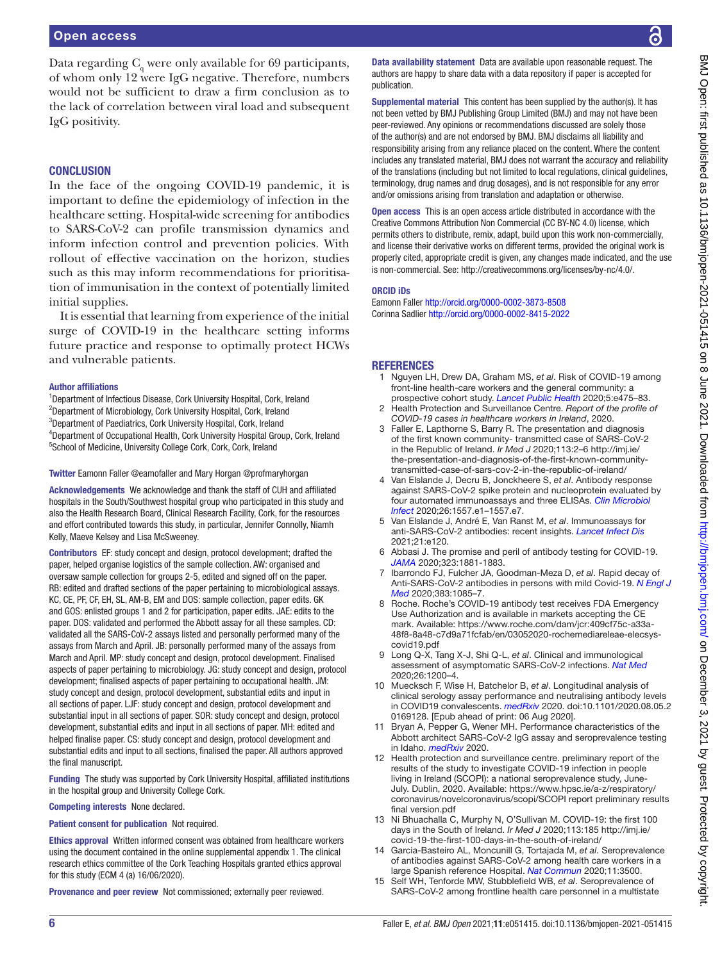# **CONCLUSION**

In the face of the ongoing COVID-19 pandemic, it is important to define the epidemiology of infection in the healthcare setting. Hospital-wide screening for antibodies to SARS-CoV-2 can profile transmission dynamics and inform infection control and prevention policies. With rollout of effective vaccination on the horizon, studies such as this may inform recommendations for prioritisation of immunisation in the context of potentially limited initial supplies.

It is essential that learning from experience of the initial surge of COVID-19 in the healthcare setting informs future practice and response to optimally protect HCWs and vulnerable patients.

### Author affiliations

<sup>1</sup>Department of Infectious Disease, Cork University Hospital, Cork, Ireland <sup>2</sup>Department of Microbiology, Cork University Hospital, Cork, Ireland <sup>3</sup>Department of Paediatrics, Cork University Hospital, Cork, Ireland <sup>4</sup>Department of Occupational Health, Cork University Hospital Group, Cork, Ireland <sup>5</sup>School of Medicine, University College Cork, Cork, Cork, Ireland

#### Twitter Eamonn Faller [@eamofaller](https://twitter.com/eamofaller) and Mary Horgan [@profmaryhorgan](https://twitter.com/profmaryhorgan)

Acknowledgements We acknowledge and thank the staff of CUH and affiliated hospitals in the South/Southwest hospital group who participated in this study and also the Health Research Board, Clinical Research Facility, Cork, for the resources and effort contributed towards this study, in particular, Jennifer Connolly, Niamh Kelly, Maeve Kelsey and Lisa McSweeney.

Contributors EF: study concept and design, protocol development; drafted the paper, helped organise logistics of the sample collection. AW: organised and oversaw sample collection for groups 2-5, edited and signed off on the paper. RB: edited and drafted sections of the paper pertaining to microbiological assays. KC, CE, PF, CF, EH, SL, AM-B, EM and DOS: sample collection, paper edits. GK and GOS: enlisted groups 1 and 2 for participation, paper edits. JAE: edits to the paper. DOS: validated and performed the Abbott assay for all these samples. CD: validated all the SARS-CoV-2 assays listed and personally performed many of the assays from March and April. JB: personally performed many of the assays from March and April. MP: study concept and design, protocol development. Finalised aspects of paper pertaining to microbiology. JG: study concept and design, protocol development; finalised aspects of paper pertaining to occupational health. JM: study concept and design, protocol development, substantial edits and input in all sections of paper. LJF: study concept and design, protocol development and substantial input in all sections of paper. SOR: study concept and design, protocol development, substantial edits and input in all sections of paper. MH: edited and helped finalise paper. CS: study concept and design, protocol development and substantial edits and input to all sections, finalised the paper. All authors approved the final manuscript.

Funding The study was supported by Cork University Hospital, affiliated institutions in the hospital group and University College Cork.

Competing interests None declared.

Patient consent for publication Not required.

Ethics approval Written informed consent was obtained from healthcare workers using the document contained in the online supplemental appendix 1. The clinical research ethics committee of the Cork Teaching Hospitals granted ethics approval for this study (ECM 4 (a) 16/06/2020).

Provenance and peer review Not commissioned; externally peer reviewed.

Data availability statement Data are available upon reasonable request. The authors are happy to share data with a data repository if paper is accepted for publication.

Supplemental material This content has been supplied by the author(s). It has not been vetted by BMJ Publishing Group Limited (BMJ) and may not have been peer-reviewed. Any opinions or recommendations discussed are solely those of the author(s) and are not endorsed by BMJ. BMJ disclaims all liability and responsibility arising from any reliance placed on the content. Where the content includes any translated material, BMJ does not warrant the accuracy and reliability of the translations (including but not limited to local regulations, clinical guidelines, terminology, drug names and drug dosages), and is not responsible for any error and/or omissions arising from translation and adaptation or otherwise.

Open access This is an open access article distributed in accordance with the Creative Commons Attribution Non Commercial (CC BY-NC 4.0) license, which permits others to distribute, remix, adapt, build upon this work non-commercially, and license their derivative works on different terms, provided the original work is properly cited, appropriate credit is given, any changes made indicated, and the use is non-commercial. See: [http://creativecommons.org/licenses/by-nc/4.0/.](http://creativecommons.org/licenses/by-nc/4.0/)

#### ORCID iDs

Eamonn Faller <http://orcid.org/0000-0002-3873-8508> Corinna Sadlier <http://orcid.org/0000-0002-8415-2022>

# **REFERENCES**

- <span id="page-5-0"></span>1 Nguyen LH, Drew DA, Graham MS, *et al*. Risk of COVID-19 among front-line health-care workers and the general community: a prospective cohort study. *[Lancet Public Health](http://dx.doi.org/10.1016/S2468-2667(20)30164-X)* 2020;5:e475–83.
- <span id="page-5-1"></span>2 Health Protection and Surveillance Centre. *Report of the profile of COVID-19 cases in healthcare workers in Ireland*, 2020.
- <span id="page-5-2"></span>Faller E, Lapthorne S, Barry R. The presentation and diagnosis of the first known community- transmitted case of SARS-CoV-2 in the Republic of Ireland. *Ir Med J* 2020;113:2–6 [http://imj.ie/](http://imj.ie/the-presentation-and-diagnosis-of-the-first-known-community-transmitted-case-of-sars-cov-2-in-the-republic-of-ireland/) [the-presentation-and-diagnosis-of-the-first-known-community](http://imj.ie/the-presentation-and-diagnosis-of-the-first-known-community-transmitted-case-of-sars-cov-2-in-the-republic-of-ireland/)[transmitted-case-of-sars-cov-2-in-the-republic-of-ireland/](http://imj.ie/the-presentation-and-diagnosis-of-the-first-known-community-transmitted-case-of-sars-cov-2-in-the-republic-of-ireland/)
- <span id="page-5-3"></span>4 Van Elslande J, Decru B, Jonckheere S, *et al*. Antibody response against SARS-CoV-2 spike protein and nucleoprotein evaluated by four automated immunoassays and three ELISAs. *[Clin Microbiol](http://dx.doi.org/10.1016/j.cmi.2020.07.038)  [Infect](http://dx.doi.org/10.1016/j.cmi.2020.07.038)* 2020;26:1557.e1–1557.e7.
- <span id="page-5-4"></span>5 Van Elslande J, André E, Van Ranst M, *et al*. Immunoassays for anti-SARS-CoV-2 antibodies: recent insights. *[Lancet Infect Dis](http://dx.doi.org/10.1016/S1473-3099(20)30846-X)* 2021;21:e120.
- <span id="page-5-5"></span>6 Abbasi J. The promise and peril of antibody testing for COVID-19. *[JAMA](http://dx.doi.org/10.1001/jama.2020.6170)* 2020;323:1881-1883.
- <span id="page-5-7"></span>7 Ibarrondo FJ, Fulcher JA, Goodman-Meza D, *et al*. Rapid decay of Anti-SARS-CoV-2 antibodies in persons with mild Covid-19. *[N Engl J](http://dx.doi.org/10.1056/NEJMc2025179)  [Med](http://dx.doi.org/10.1056/NEJMc2025179)* 2020;383:1085–7.
- <span id="page-5-6"></span>8 Roche. Roche's COVID-19 antibody test receives FDA Emergency Use Authorization and is available in markets accepting the CE mark. Available: [https://www.roche.com/dam/jcr:409cf75c-a33a-](https://www.roche.com/dam/jcr:409cf75c-a33a-48f8-8a48-c7d9a71fcfab/en/03052020-rochemediareleae-elecsys-covid19.pdf)[48f8-8a48-c7d9a71fcfab/en/03052020-rochemediareleae-elecsys](https://www.roche.com/dam/jcr:409cf75c-a33a-48f8-8a48-c7d9a71fcfab/en/03052020-rochemediareleae-elecsys-covid19.pdf)[covid19.pdf](https://www.roche.com/dam/jcr:409cf75c-a33a-48f8-8a48-c7d9a71fcfab/en/03052020-rochemediareleae-elecsys-covid19.pdf)
- 9 Long Q-X, Tang X-J, Shi Q-L, *et al*. Clinical and immunological assessment of asymptomatic SARS-CoV-2 infections. *[Nat Med](http://dx.doi.org/10.1038/s41591-020-0965-6)* 2020;26:1200–4.
- 10 Muecksch F, Wise H, Batchelor B, *et al*. Longitudinal analysis of clinical serology assay performance and neutralising antibody levels in COVID19 convalescents. *[medRxiv](http://dx.doi.org/10.1101/2020.08.05.20169128)* 2020. doi:10.1101/2020.08.05.2 0169128. [Epub ahead of print: 06 Aug 2020].
- <span id="page-5-8"></span>11 Bryan A, Pepper G, Wener MH. Performance characteristics of the Abbott architect SARS-CoV-2 IgG assay and seroprevalence testing in Idaho. *[medRxiv](http://dx.doi.org/10.1101/2020.04.27.20082362)* 2020.
- <span id="page-5-9"></span>12 Health protection and surveillance centre. preliminary report of the results of the study to investigate COVID-19 infection in people living in Ireland (SCOPI): a national seroprevalence study, June-July. Dublin, 2020. Available: [https://www.hpsc.ie/a-z/respiratory/](https://www.hpsc.ie/a-z/respiratory/coronavirus/novelcoronavirus/scopi/SCOPI%20report%20preliminary%20results%20final%20version.pdf) [coronavirus/novelcoronavirus/scopi/SCOPI report preliminary results](https://www.hpsc.ie/a-z/respiratory/coronavirus/novelcoronavirus/scopi/SCOPI%20report%20preliminary%20results%20final%20version.pdf)  [final version.pdf](https://www.hpsc.ie/a-z/respiratory/coronavirus/novelcoronavirus/scopi/SCOPI%20report%20preliminary%20results%20final%20version.pdf)
- <span id="page-5-10"></span>13 Ni Bhuachalla C, Murphy N, O'Sullivan M. COVID-19: the first 100 days in the South of Ireland. *Ir Med J* 2020;113:185 [http://imj.ie/](http://imj.ie/covid-19-the-first-100-days-in-the-south-of-ireland/) [covid-19-the-first-100-days-in-the-south-of-ireland/](http://imj.ie/covid-19-the-first-100-days-in-the-south-of-ireland/)
- <span id="page-5-11"></span>14 Garcia-Basteiro AL, Moncunill G, Tortajada M, *et al*. Seroprevalence of antibodies against SARS-CoV-2 among health care workers in a large Spanish reference Hospital. *[Nat Commun](http://dx.doi.org/10.1038/s41467-020-17318-x)* 2020;11:3500.
- <span id="page-5-12"></span>15 Self WH, Tenforde MW, Stubblefield WB, *et al*. Seroprevalence of SARS-CoV-2 among frontline health care personnel in a multistate